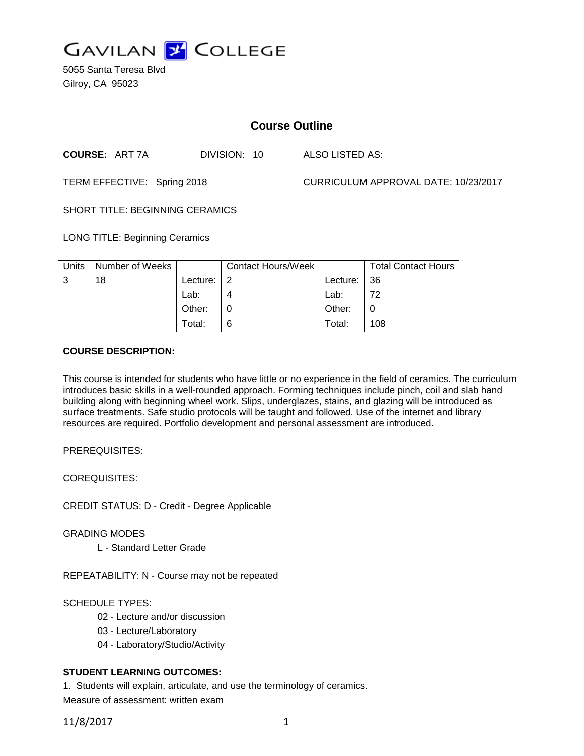

5055 Santa Teresa Blvd Gilroy, CA 95023

# **Course Outline**

**COURSE:** ART 7A DIVISION: 10 ALSO LISTED AS:

TERM EFFECTIVE: Spring 2018 CURRICULUM APPROVAL DATE: 10/23/2017

SHORT TITLE: BEGINNING CERAMICS

LONG TITLE: Beginning Ceramics

| Units | Number of Weeks |          | <b>Contact Hours/Week</b> |            | <b>Total Contact Hours</b> |
|-------|-----------------|----------|---------------------------|------------|----------------------------|
| ູ     | 18              | Lecture: | 2                         | Lecture: I | -36                        |
|       |                 | Lab:     |                           | Lab:       | 72                         |
|       |                 | Other:   |                           | Other:     | 0                          |
|       |                 | Total:   | 6                         | Total:     | 108                        |

#### **COURSE DESCRIPTION:**

This course is intended for students who have little or no experience in the field of ceramics. The curriculum introduces basic skills in a well-rounded approach. Forming techniques include pinch, coil and slab hand building along with beginning wheel work. Slips, underglazes, stains, and glazing will be introduced as surface treatments. Safe studio protocols will be taught and followed. Use of the internet and library resources are required. Portfolio development and personal assessment are introduced.

PREREQUISITES:

COREQUISITES:

CREDIT STATUS: D - Credit - Degree Applicable

GRADING MODES

L - Standard Letter Grade

REPEATABILITY: N - Course may not be repeated

SCHEDULE TYPES:

- 02 Lecture and/or discussion
- 03 Lecture/Laboratory
- 04 Laboratory/Studio/Activity

# **STUDENT LEARNING OUTCOMES:**

1. Students will explain, articulate, and use the terminology of ceramics.

Measure of assessment: written exam

11/8/2017 1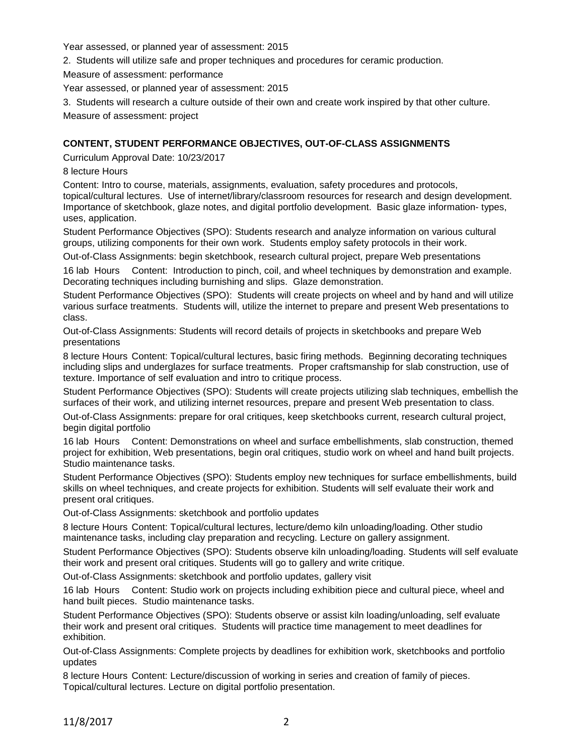Year assessed, or planned year of assessment: 2015

2. Students will utilize safe and proper techniques and procedures for ceramic production.

Measure of assessment: performance

Year assessed, or planned year of assessment: 2015

3. Students will research a culture outside of their own and create work inspired by that other culture.

Measure of assessment: project

### **CONTENT, STUDENT PERFORMANCE OBJECTIVES, OUT-OF-CLASS ASSIGNMENTS**

Curriculum Approval Date: 10/23/2017

8 lecture Hours

Content: Intro to course, materials, assignments, evaluation, safety procedures and protocols, topical/cultural lectures. Use of internet/library/classroom resources for research and design development. Importance of sketchbook, glaze notes, and digital portfolio development. Basic glaze information- types, uses, application.

Student Performance Objectives (SPO): Students research and analyze information on various cultural groups, utilizing components for their own work. Students employ safety protocols in their work.

Out-of-Class Assignments: begin sketchbook, research cultural project, prepare Web presentations

16 lab Hours Content: Introduction to pinch, coil, and wheel techniques by demonstration and example. Decorating techniques including burnishing and slips. Glaze demonstration.

Student Performance Objectives (SPO): Students will create projects on wheel and by hand and will utilize various surface treatments. Students will, utilize the internet to prepare and present Web presentations to class.

Out-of-Class Assignments: Students will record details of projects in sketchbooks and prepare Web presentations

8 lecture Hours Content: Topical/cultural lectures, basic firing methods. Beginning decorating techniques including slips and underglazes for surface treatments. Proper craftsmanship for slab construction, use of texture. Importance of self evaluation and intro to critique process.

Student Performance Objectives (SPO): Students will create projects utilizing slab techniques, embellish the surfaces of their work, and utilizing internet resources, prepare and present Web presentation to class.

Out-of-Class Assignments: prepare for oral critiques, keep sketchbooks current, research cultural project, begin digital portfolio

16 lab Hours Content: Demonstrations on wheel and surface embellishments, slab construction, themed project for exhibition, Web presentations, begin oral critiques, studio work on wheel and hand built projects. Studio maintenance tasks.

Student Performance Objectives (SPO): Students employ new techniques for surface embellishments, build skills on wheel techniques, and create projects for exhibition. Students will self evaluate their work and present oral critiques.

Out-of-Class Assignments: sketchbook and portfolio updates

8 lecture Hours Content: Topical/cultural lectures, lecture/demo kiln unloading/loading. Other studio maintenance tasks, including clay preparation and recycling. Lecture on gallery assignment.

Student Performance Objectives (SPO): Students observe kiln unloading/loading. Students will self evaluate their work and present oral critiques. Students will go to gallery and write critique.

Out-of-Class Assignments: sketchbook and portfolio updates, gallery visit

16 lab Hours Content: Studio work on projects including exhibition piece and cultural piece, wheel and hand built pieces. Studio maintenance tasks.

Student Performance Objectives (SPO): Students observe or assist kiln loading/unloading, self evaluate their work and present oral critiques. Students will practice time management to meet deadlines for exhibition.

Out-of-Class Assignments: Complete projects by deadlines for exhibition work, sketchbooks and portfolio updates

8 lecture Hours Content: Lecture/discussion of working in series and creation of family of pieces. Topical/cultural lectures. Lecture on digital portfolio presentation.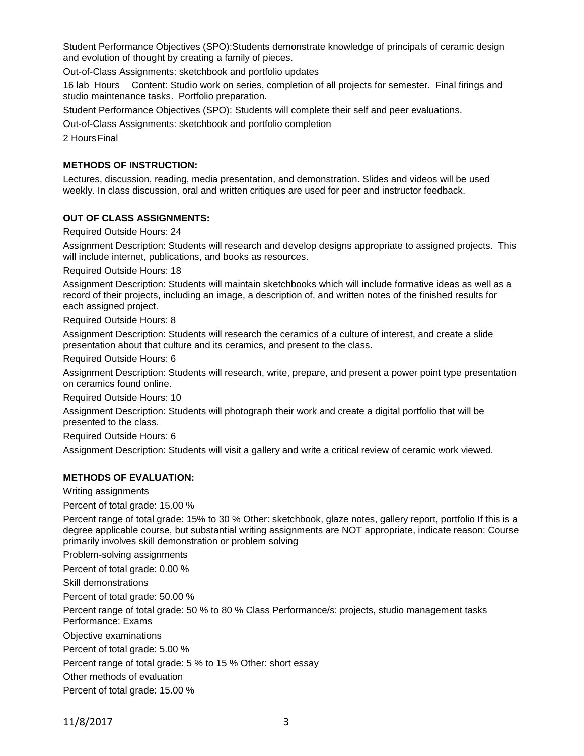Student Performance Objectives (SPO):Students demonstrate knowledge of principals of ceramic design and evolution of thought by creating a family of pieces.

Out-of-Class Assignments: sketchbook and portfolio updates

16 lab Hours Content: Studio work on series, completion of all projects for semester. Final firings and studio maintenance tasks. Portfolio preparation.

Student Performance Objectives (SPO): Students will complete their self and peer evaluations.

Out-of-Class Assignments: sketchbook and portfolio completion

2 HoursFinal

### **METHODS OF INSTRUCTION:**

Lectures, discussion, reading, media presentation, and demonstration. Slides and videos will be used weekly. In class discussion, oral and written critiques are used for peer and instructor feedback.

#### **OUT OF CLASS ASSIGNMENTS:**

Required Outside Hours: 24

Assignment Description: Students will research and develop designs appropriate to assigned projects. This will include internet, publications, and books as resources.

Required Outside Hours: 18

Assignment Description: Students will maintain sketchbooks which will include formative ideas as well as a record of their projects, including an image, a description of, and written notes of the finished results for each assigned project.

Required Outside Hours: 8

Assignment Description: Students will research the ceramics of a culture of interest, and create a slide presentation about that culture and its ceramics, and present to the class.

Required Outside Hours: 6

Assignment Description: Students will research, write, prepare, and present a power point type presentation on ceramics found online.

Required Outside Hours: 10

Assignment Description: Students will photograph their work and create a digital portfolio that will be presented to the class.

Required Outside Hours: 6

Assignment Description: Students will visit a gallery and write a critical review of ceramic work viewed.

## **METHODS OF EVALUATION:**

Writing assignments

Percent of total grade: 15.00 %

Percent range of total grade: 15% to 30 % Other: sketchbook, glaze notes, gallery report, portfolio If this is a degree applicable course, but substantial writing assignments are NOT appropriate, indicate reason: Course primarily involves skill demonstration or problem solving

Problem-solving assignments

Percent of total grade: 0.00 %

Skill demonstrations

Percent of total grade: 50.00 %

Percent range of total grade: 50 % to 80 % Class Performance/s: projects, studio management tasks

Performance: Exams

Objective examinations

Percent of total grade: 5.00 %

Percent range of total grade: 5 % to 15 % Other: short essay

Other methods of evaluation

Percent of total grade: 15.00 %

11/8/2017 3